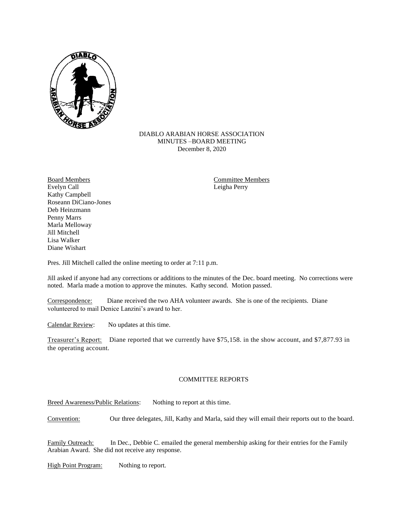

## DIABLO ARABIAN HORSE ASSOCIATION MINUTES –BOARD MEETING December 8, 2020

Board Members **Committee Members** Evelyn Call Leigha Perry Kathy Campbell Roseann DiCiano-Jones Deb Heinzmann Penny Marrs Marla Melloway Jill Mitchell Lisa Walker Diane Wishart

Pres. Jill Mitchell called the online meeting to order at 7:11 p.m.

Jill asked if anyone had any corrections or additions to the minutes of the Dec. board meeting. No corrections were noted. Marla made a motion to approve the minutes. Kathy second. Motion passed.

Correspondence: Diane received the two AHA volunteer awards. She is one of the recipients. Diane volunteered to mail Denice Lanzini's award to her.

Calendar Review: No updates at this time.

Treasurer's Report: Diane reported that we currently have \$75,158. in the show account, and \$7,877.93 in the operating account.

## COMMITTEE REPORTS

Breed Awareness/Public Relations: Nothing to report at this time.

Convention: Our three delegates, Jill, Kathy and Marla, said they will email their reports out to the board.

Family Outreach: In Dec., Debbie C. emailed the general membership asking for their entries for the Family Arabian Award. She did not receive any response.

High Point Program: Nothing to report.